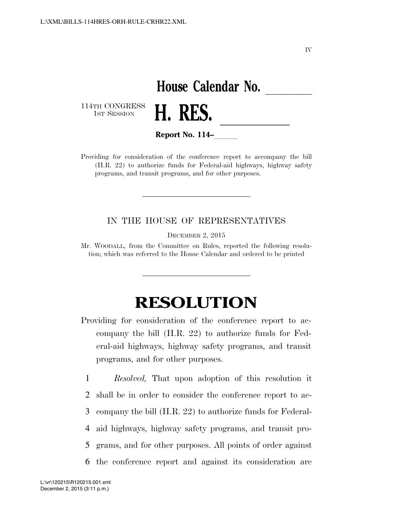IV

## **House Calendar No.**<br>**H. RES.**

114TH CONGRESS<br>1st Session



**Report No. 114–** 

Providing for consideration of the conference report to accompany the bill (H.R. 22) to authorize funds for Federal-aid highways, highway safety programs, and transit programs, and for other purposes.

## IN THE HOUSE OF REPRESENTATIVES

DECEMBER 2, 2015

Mr. WOODALL, from the Committee on Rules, reported the following resolution; which was referred to the House Calendar and ordered to be printed

## **RESOLUTION**

Providing for consideration of the conference report to accompany the bill (H.R. 22) to authorize funds for Federal-aid highways, highway safety programs, and transit programs, and for other purposes.

 *Resolved,* That upon adoption of this resolution it shall be in order to consider the conference report to ac- company the bill (H.R. 22) to authorize funds for Federal- aid highways, highway safety programs, and transit pro- grams, and for other purposes. All points of order against the conference report and against its consideration are